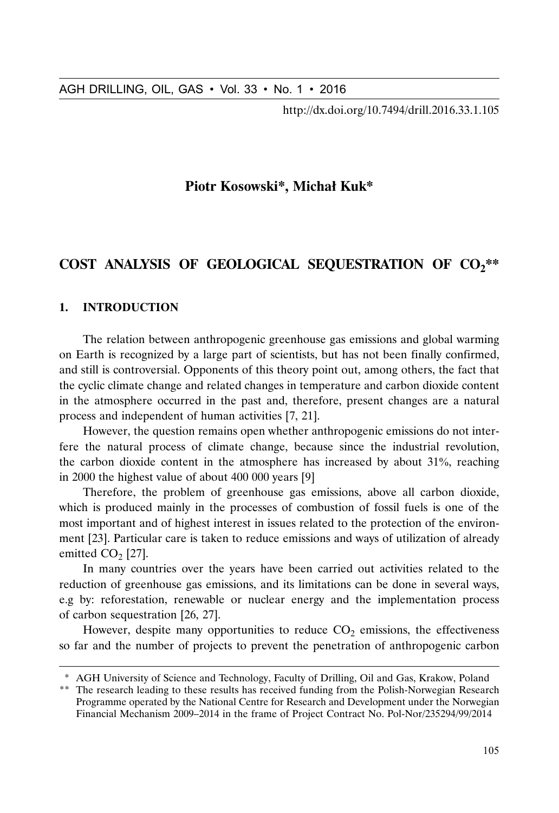http://dx.doi.org/10.7494/drill.2016.33.1.105

# **Piotr Kosowski\*, Michał Kuk\***

# COST ANALYSIS OF GEOLOGICAL SEQUESTRATION OF CO<sub>2</sub>\*\*

## **1. INTRODUCTION**

The relation between anthropogenic greenhouse gas emissions and global warming on Earth is recognized by a large part of scientists, but has not been finally confirmed, and still is controversial. Opponents of this theory point out, among others, the fact that the cyclic climate change and related changes in temperature and carbon dioxide content in the atmosphere occurred in the past and, therefore, present changes are a natural process and independent of human activities [7, 21].

However, the question remains open whether anthropogenic emissions do not interfere the natural process of climate change, because since the industrial revolution, the carbon dioxide content in the atmosphere has increased by about  $31\%$ , reaching in 2000 the highest value of about 400 000 years [9]

Therefore, the problem of greenhouse gas emissions, above all carbon dioxide, which is produced mainly in the processes of combustion of fossil fuels is one of the most important and of highest interest in issues related to the protection of the environment [23]. Particular care is taken to reduce emissions and ways of utilization of already emitted  $CO<sub>2</sub>$  [27].

In many countries over the years have been carried out activities related to the reduction of greenhouse gas emissions, and its limitations can be done in several ways, e.g by: reforestation, renewable or nuclear energy and the implementation process of carbon sequestration [26, 27].

However, despite many opportunities to reduce  $CO<sub>2</sub>$  emissions, the effectiveness so far and the number of projects to prevent the penetration of anthropogenic carbon

<sup>\*</sup> AGH University of Science and Technology, Faculty of Drilling, Oil and Gas, Krakow, Poland

<sup>\*\*</sup> The research leading to these results has received funding from the Polish-Norwegian Research Programme operated by the National Centre for Research and Development under the Norwegian Financial Mechanism 2009–2014 in the frame of Project Contract No. Pol-Nor/235294/99/2014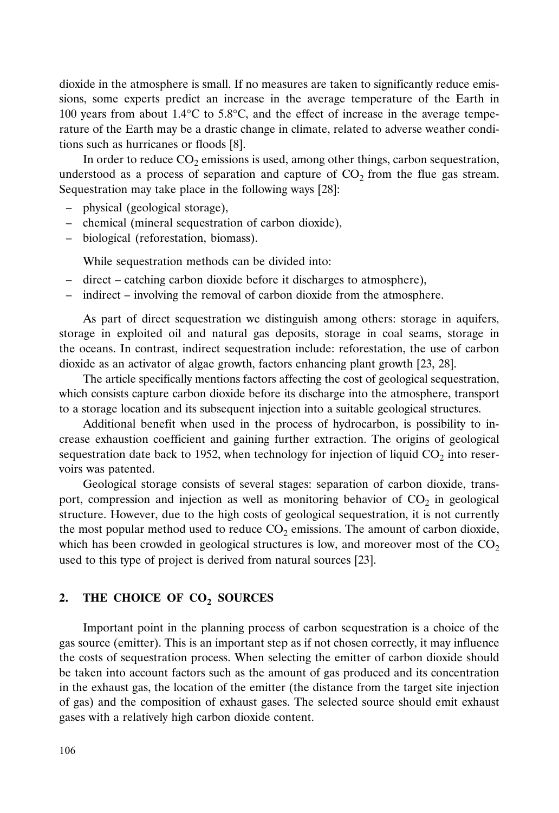dioxide in the atmosphere is small. If no measures are taken to significantly reduce emissions, some experts predict an increase in the average temperature of the Earth in 100 years from about 1.4°C to 5.8°C, and the effect of increase in the average temperature of the Earth may be a drastic change in climate, related to adverse weather conditions such as hurricanes or floods [8].

In order to reduce  $CO<sub>2</sub>$  emissions is used, among other things, carbon sequestration, understood as a process of separation and capture of  $CO<sub>2</sub>$  from the flue gas stream. Sequestration may take place in the following ways [28]:

- physical (geological storage),
- chemical (mineral sequestration of carbon dioxide),
- biological (reforestation, biomass).

While sequestration methods can be divided into:

- direct catching carbon dioxide before it discharges to atmosphere),
- indirect involving the removal of carbon dioxide from the atmosphere.

As part of direct sequestration we distinguish among others: storage in aquifers, storage in exploited oil and natural gas deposits, storage in coal seams, storage in the oceans. In contrast, indirect sequestration include: reforestation, the use of carbon dioxide as an activator of algae growth, factors enhancing plant growth [23, 28].

The article specifically mentions factors affecting the cost of geological sequestration, which consists capture carbon dioxide before its discharge into the atmosphere, transport to a storage location and its subsequent injection into a suitable geological structures.

Additional benefit when used in the process of hydrocarbon, is possibility to increase exhaustion coefficient and gaining further extraction. The origins of geological sequestration date back to 1952, when technology for injection of liquid  $CO<sub>2</sub>$  into reservoirs was patented.

Geological storage consists of several stages: separation of carbon dioxide, transport, compression and injection as well as monitoring behavior of  $CO<sub>2</sub>$  in geological structure. However, due to the high costs of geological sequestration, it is not currently the most popular method used to reduce  $CO<sub>2</sub>$  emissions. The amount of carbon dioxide, which has been crowded in geological structures is low, and moreover most of the  $CO<sub>2</sub>$ used to this type of project is derived from natural sources [23].

# 2. THE CHOICE OF CO<sub>2</sub> SOURCES

Important point in the planning process of carbon sequestration is a choice of the gas source (emitter). This is an important step as if not chosen correctly, it may influence the costs of sequestration process. When selecting the emitter of carbon dioxide should be taken into account factors such as the amount of gas produced and its concentration in the exhaust gas, the location of the emitter (the distance from the target site injection of gas) and the composition of exhaust gases. The selected source should emit exhaust gases with a relatively high carbon dioxide content.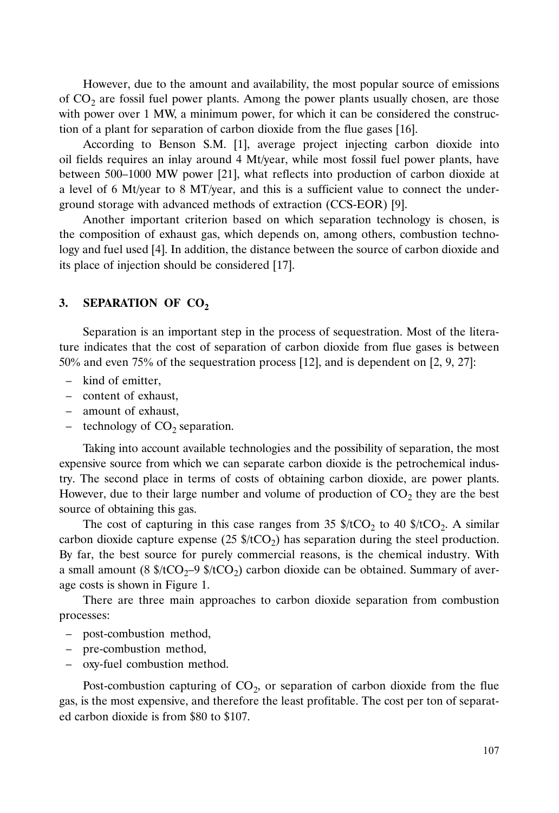However, due to the amount and availability, the most popular source of emissions of  $CO<sub>2</sub>$  are fossil fuel power plants. Among the power plants usually chosen, are those with power over 1 MW, a minimum power, for which it can be considered the construction of a plant for separation of carbon dioxide from the flue gases [16].

According to Benson S.M. [1], average project injecting carbon dioxide into oil fields requires an inlay around 4 Mt/year, while most fossil fuel power plants, have between 500–1000 MW power [21], what reflects into production of carbon dioxide at a level of 6 Mt/year to 8 MT/year, and this is a sufficient value to connect the underground storage with advanced methods of extraction (CCS-EOR) [9].

Another important criterion based on which separation technology is chosen, is the composition of exhaust gas, which depends on, among others, combustion technology and fuel used [4]. In addition, the distance between the source of carbon dioxide and its place of injection should be considered [17].

#### 3. **SEPARATION OF CO<sub>2</sub>**

Separation is an important step in the process of sequestration. Most of the literature indicates that the cost of separation of carbon dioxide from flue gases is between 50% and even 75% of the sequestration process [12], and is dependent on [2, 9, 27]:

- kind of emitter,
- content of exhaust,
- amount of exhaust,
- technology of  $CO<sub>2</sub>$  separation.

Taking into account available technologies and the possibility of separation, the most expensive source from which we can separate carbon dioxide is the petrochemical industry. The second place in terms of costs of obtaining carbon dioxide, are power plants. However, due to their large number and volume of production of  $CO<sub>2</sub>$  they are the best source of obtaining this gas.

The cost of capturing in this case ranges from 35  $\frac{1}{2}$  to 40  $\frac{1}{2}$  tCO<sub>2</sub>. A similar carbon dioxide capture expense  $(25 \text{ s}/tCO_2)$  has separation during the steel production. By far, the best source for purely commercial reasons, is the chemical industry. With a small amount (8  $f(CO_2-9 \frac{f}{CO_2})$  carbon dioxide can be obtained. Summary of average costs is shown in Figure 1.

There are three main approaches to carbon dioxide separation from combustion processes:

- post-combustion method,
- pre-combustion method,
- oxy-fuel combustion method.

Post-combustion capturing of  $CO<sub>2</sub>$ , or separation of carbon dioxide from the flue gas, is the most expensive, and therefore the least profitable. The cost per ton of separated carbon dioxide is from \$80 to \$107.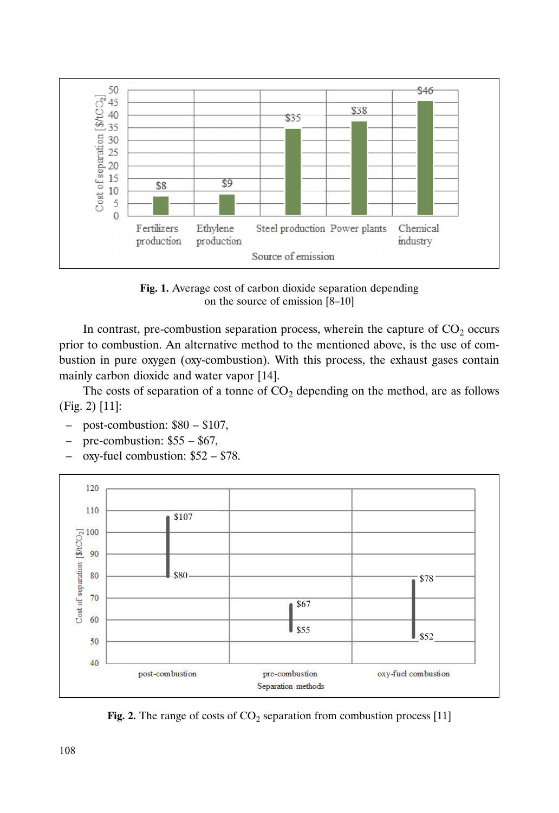

**Fig. 1.** Average cost of carbon dioxide separation depending on the source of emission [8–10]

In contrast, pre-combustion separation process, wherein the capture of  $CO<sub>2</sub>$  occurs prior to combustion. An alternative method to the mentioned above, is the use of combustion in pure oxygen (oxy-combustion). With this process, the exhaust gases contain mainly carbon dioxide and water vapor [14].

The costs of separation of a tonne of  $CO<sub>2</sub>$  depending on the method, are as follows (Fig. 2) [11]:

- post-combustion: \$80 \$107,
- pre-combustion: \$55 \$67,
- oxy-fuel combustion: \$52 \$78.



**Fig. 2.** The range of costs of  $CO_2$  separation from combustion process [11]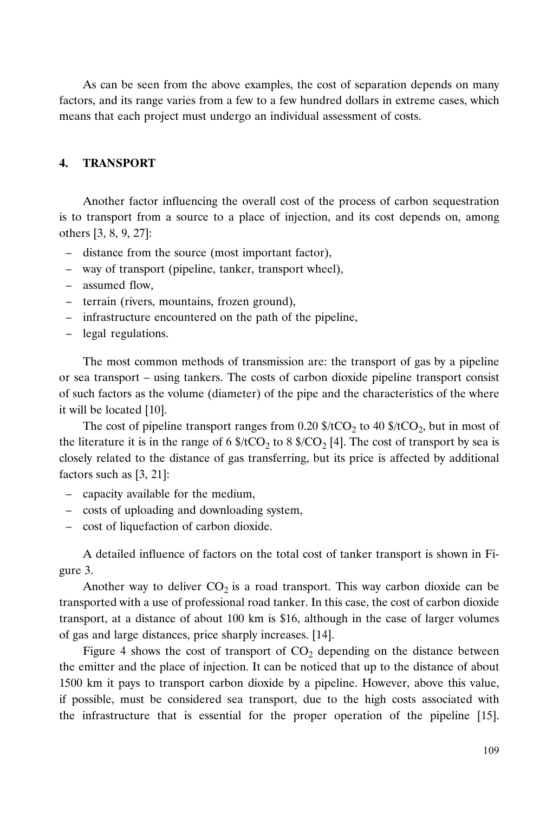As can be seen from the above examples, the cost of separation depends on many factors, and its range varies from a few to a few hundred dollars in extreme cases, which means that each project must undergo an individual assessment of costs.

## **4. TRANSPORT**

Another factor influencing the overall cost of the process of carbon sequestration is to transport from a source to a place of injection, and its cost depends on, among others [3, 8, 9, 27]:

- distance from the source (most important factor),
- way of transport (pipeline, tanker, transport wheel),
- assumed flow,
- terrain (rivers, mountains, frozen ground),
- infrastructure encountered on the path of the pipeline,
- legal regulations.

The most common methods of transmission are: the transport of gas by a pipeline or sea transport – using tankers. The costs of carbon dioxide pipeline transport consist of such factors as the volume (diameter) of the pipe and the characteristics of the where it will be located [10].

The cost of pipeline transport ranges from 0.20  $\frac{1}{2}$  to 40  $\frac{1}{2}$  (tCO<sub>2</sub>, but in most of the literature it is in the range of 6  $\frac{8}{2}CO_2$  to 8  $\frac{8}{2}CO_2$  [4]. The cost of transport by sea is closely related to the distance of gas transferring, but its price is affected by additional factors such as [3, 21]:

- capacity available for the medium,
- costs of uploading and downloading system,
- cost of liquefaction of carbon dioxide.

A detailed influence of factors on the total cost of tanker transport is shown in Figure 3.

Another way to deliver  $CO_2$  is a road transport. This way carbon dioxide can be transported with a use of professional road tanker. In this case, the cost of carbon dioxide transport, at a distance of about 100 km is \$16, although in the case of larger volumes of gas and large distances, price sharply increases. [14].

Figure 4 shows the cost of transport of  $CO<sub>2</sub>$  depending on the distance between the emitter and the place of injection. It can be noticed that up to the distance of about 1500 km it pays to transport carbon dioxide by a pipeline. However, above this value, if possible, must be considered sea transport, due to the high costs associated with the infrastructure that is essential for the proper operation of the pipeline [15].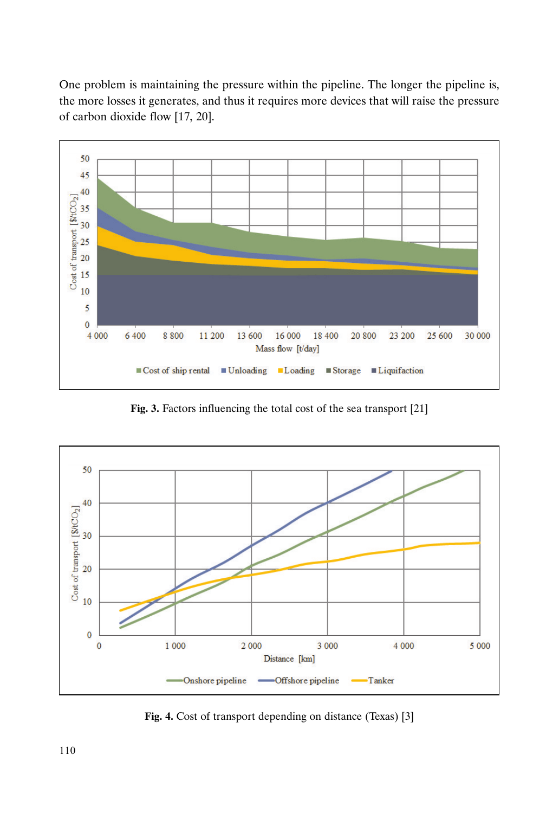the more losses it generates, and thus it requires more devices that will raise the pressure of carbon dioxide flow [17, 20].



**Fig. 3.** Factors influencing the total cost of the sea transport [21]



**Fig. 4.** Cost of transport depending on distance (Texas) [3]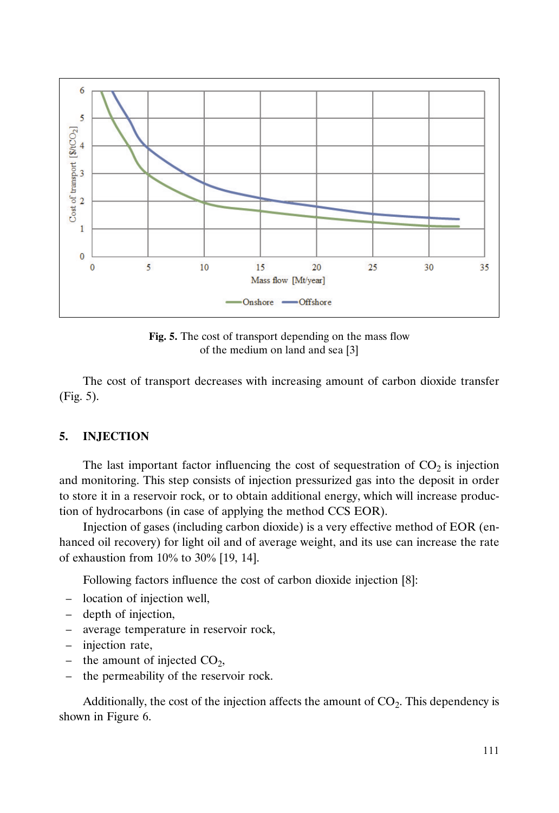

**Fig. 5.** The cost of transport depending on the mass flow of the medium on land and sea [3]

The cost of transport decreases with increasing amount of carbon dioxide transfer (Fig. 5).

# **5. INJECTION**

The last important factor influencing the cost of sequestration of  $CO<sub>2</sub>$  is injection and monitoring. This step consists of injection pressurized gas into the deposit in order to store it in a reservoir rock, or to obtain additional energy, which will increase production of hydrocarbons (in case of applying the method CCS EOR).

Injection of gases (including carbon dioxide) is a very effective method of EOR (enhanced oil recovery) for light oil and of average weight, and its use can increase the rate of exhaustion from  $10\%$  to  $30\%$  [19, 14].

Following factors influence the cost of carbon dioxide injection [8]:

- location of injection well,
- depth of injection,
- average temperature in reservoir rock,
- injection rate,
- the amount of injected  $CO<sub>2</sub>$ ,
- the permeability of the reservoir rock.

Additionally, the cost of the injection affects the amount of  $CO<sub>2</sub>$ . This dependency is shown in Figure 6.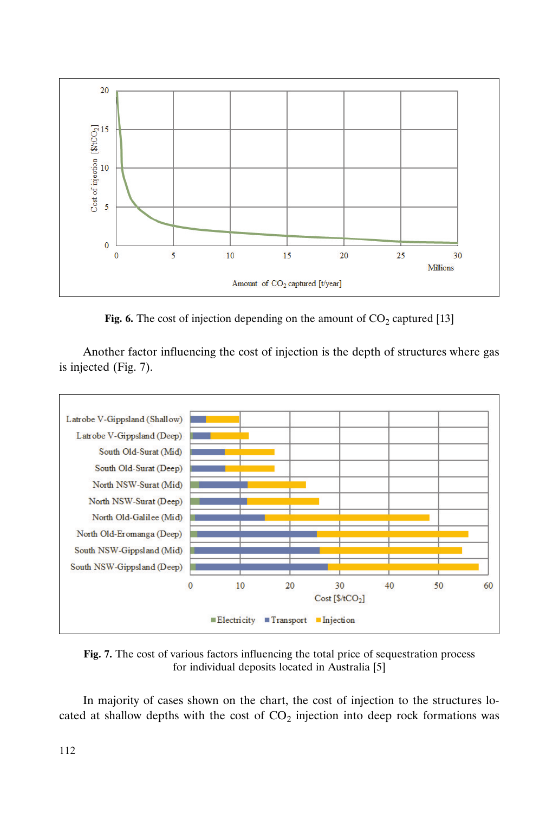

**Fig. 6.** The cost of injection depending on the amount of  $CO_2$  captured [13]

Another factor influencing the cost of injection is the depth of structures where gas is injected (Fig. 7).



**Fig. 7.** The cost of various factors influencing the total price of sequestration process for individual deposits located in Australia [5]

In majority of cases shown on the chart, the cost of injection to the structures located at shallow depths with the cost of  $CO<sub>2</sub>$  injection into deep rock formations was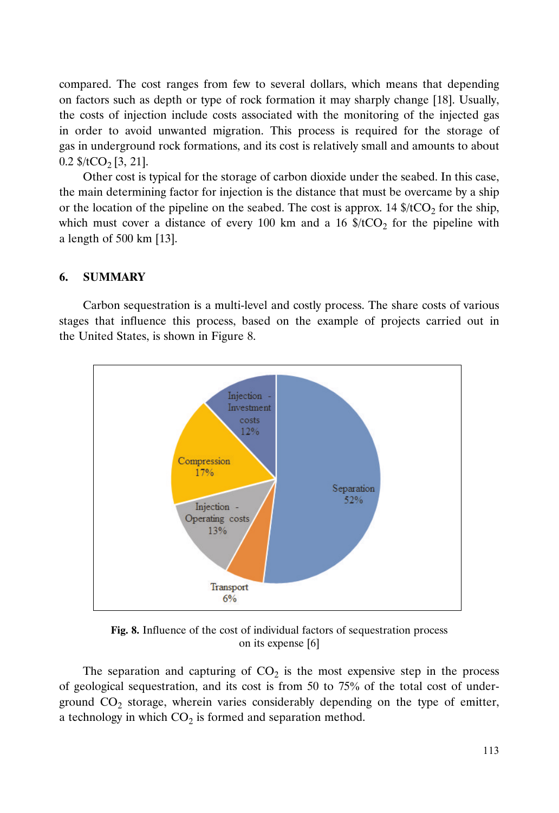compared. The cost ranges from few to several dollars, which means that depending on factors such as depth or type of rock formation it may sharply change [18]. Usually, the costs of injection include costs associated with the monitoring of the injected gas in order to avoid unwanted migration. This process is required for the storage of gas in underground rock formations, and its cost is relatively small and amounts to about  $0.2$  \$/tCO<sub>2</sub> [3, 21].

Other cost is typical for the storage of carbon dioxide under the seabed. In this case, the main determining factor for injection is the distance that must be overcame by a ship or the location of the pipeline on the seabed. The cost is approx. 14  $\frac{4}{\sqrt{2}}$  for the ship, which must cover a distance of every 100 km and a 16  $\frac{16}{2}$  for the pipeline with a length of 500 km [13].

## **6. SUMMARY**

Carbon sequestration is a multi-level and costly process. The share costs of various stages that influence this process, based on the example of projects carried out in the United States, is shown in Figure 8.



**Fig. 8.** Influence of the cost of individual factors of sequestration process on its expense [6]

The separation and capturing of  $CO<sub>2</sub>$  is the most expensive step in the process of geological sequestration, and its cost is from 50 to  $75\%$  of the total cost of underground  $CO<sub>2</sub>$  storage, wherein varies considerably depending on the type of emitter, a technology in which  $CO<sub>2</sub>$  is formed and separation method.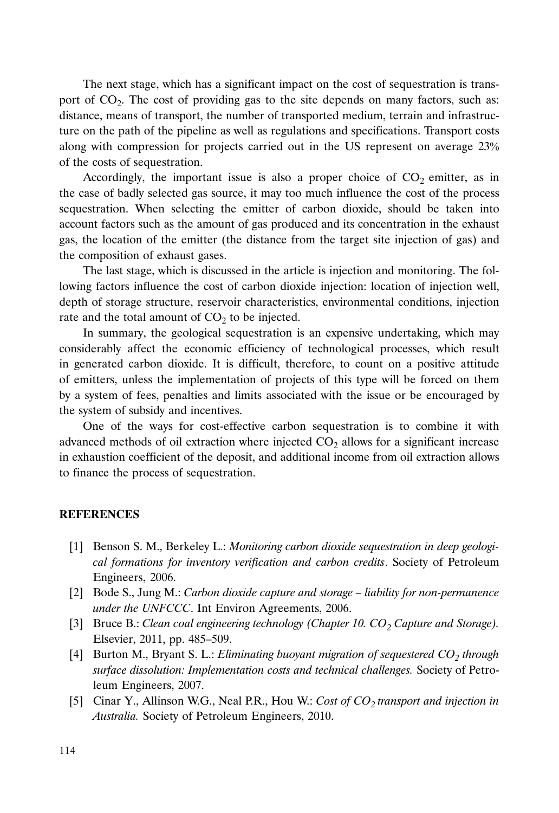The next stage, which has a significant impact on the cost of sequestration is transport of  $CO<sub>2</sub>$ . The cost of providing gas to the site depends on many factors, such as: distance, means of transport, the number of transported medium, terrain and infrastructure on the path of the pipeline as well as regulations and specifications. Transport costs along with compression for projects carried out in the US represent on average 23 of the costs of sequestration.

Accordingly, the important issue is also a proper choice of  $CO<sub>2</sub>$  emitter, as in the case of badly selected gas source, it may too much influence the cost of the process sequestration. When selecting the emitter of carbon dioxide, should be taken into account factors such as the amount of gas produced and its concentration in the exhaust gas, the location of the emitter (the distance from the target site injection of gas) and the composition of exhaust gases.

The last stage, which is discussed in the article is injection and monitoring. The following factors influence the cost of carbon dioxide injection: location of injection well, depth of storage structure, reservoir characteristics, environmental conditions, injection rate and the total amount of  $CO<sub>2</sub>$  to be injected.

In summary, the geological sequestration is an expensive undertaking, which may considerably affect the economic efficiency of technological processes, which result in generated carbon dioxide. It is difficult, therefore, to count on a positive attitude of emitters, unless the implementation of projects of this type will be forced on them by a system of fees, penalties and limits associated with the issue or be encouraged by the system of subsidy and incentives.

One of the ways for cost-effective carbon sequestration is to combine it with advanced methods of oil extraction where injected  $CO<sub>2</sub>$  allows for a significant increase in exhaustion coefficient of the deposit, and additional income from oil extraction allows to finance the process of sequestration.

## **REFERENCES**

- [1] Benson S. M., Berkeley L.: *Monitoring carbon dioxide sequestration in deep geological formations for inventory verification and carbon credits*. Society of Petroleum Engineers, 2006.
- [2] Bode S., Jung M.: *Carbon dioxide capture and storage liability for non-permanence under the UNFCCC*. Int Environ Agreements, 2006.
- [3] Bruce B.: *Clean coal engineering technology (Chapter 10. CO<sub>2</sub> Capture and Storage).* Elsevier, 2011, pp. 485–509.
- [4] Burton M., Bryant S. L.: *Eliminating buoyant migration of sequestered CO<sub>2</sub> through surface dissolution: Implementation costs and technical challenges.* Society of Petroleum Engineers, 2007.
- [5] Cinar Y., Allinson W.G., Neal P.R., Hou W.: *Cost of CO2 transport and injection in Australia.* Society of Petroleum Engineers, 2010.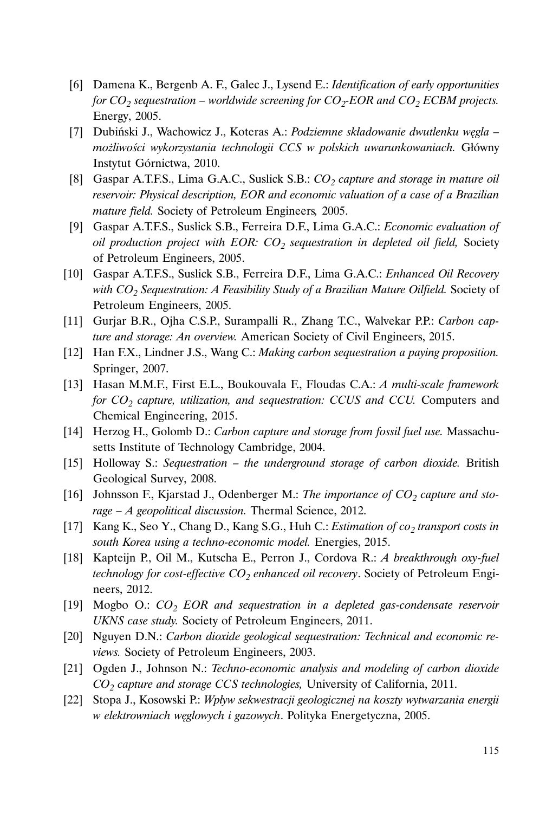- [6] Damena K., Bergenb A. F., Galec J., Lysend E.: *Identification of early opportunities for CO<sub>2</sub> sequestration – worldwide screening for CO<sub>2</sub>-EOR and CO<sub>2</sub> ECBM projects.* Energy, 2005.
- [7] Dubiński J., Wachowicz J., Koteras A.: *Podziemne składowanie dwutlenku węgla – możliwości wykorzystania technologii CCS w polskich uwarunkowaniach.* Główny Instytut Górnictwa, 2010.
- [8] Gaspar A.T.F.S., Lima G.A.C., Suslick S.B.: *CO<sub>2</sub> capture and storage in mature oil reservoir: Physical description, EOR and economic valuation of a case of a Brazilian mature field.* Society of Petroleum Engineers*,* 2005.
- [9] Gaspar A.T.F.S., Suslick S.B., Ferreira D.F., Lima G.A.C.: *Economic evaluation of oil production project with EOR: CO<sub>2</sub> sequestration in depleted oil field, Society* of Petroleum Engineers, 2005.
- [10] Gaspar A.T.F.S., Suslick S.B., Ferreira D.F., Lima G.A.C.: *Enhanced Oil Recovery* with CO<sub>2</sub> Sequestration: A Feasibility Study of a Brazilian Mature Oilfield. Society of Petroleum Engineers, 2005.
- [11] Gurjar B.R., Ojha C.S.P., Surampalli R., Zhang T.C., Walvekar P.P.: *Carbon capture and storage: An overview.* American Society of Civil Engineers, 2015.
- [12] Han F.X., Lindner J.S., Wang C.: *Making carbon sequestration a paying proposition.* Springer, 2007.
- [13] Hasan M.M.F., First E.L., Boukouvala F., Floudas C.A.: *A multi-scale framework for CO2 capture, utilization, and sequestration: CCUS and CCU.* Computers and Chemical Engineering, 2015.
- [14] Herzog H., Golomb D.: *Carbon capture and storage from fossil fuel use.* Massachusetts Institute of Technology Cambridge, 2004.
- [15] Holloway S.: *Sequestration the underground storage of carbon dioxide.* British Geological Survey, 2008.
- [16] Johnsson F., Kjarstad J., Odenberger M.: The importance of CO<sub>2</sub> capture and sto*rage – A geopolitical discussion.* Thermal Science, 2012.
- [17] Kang K., Seo Y., Chang D., Kang S.G., Huh C.: *Estimation of co<sub>2</sub> transport costs in south Korea using a techno-economic model.* Energies, 2015.
- [18] Kapteijn P., Oil M., Kutscha E., Perron J., Cordova R.: *A breakthrough oxy-fuel technology for cost-effective CO<sub>2</sub> enhanced oil recovery*. Society of Petroleum Engineers, 2012.
- [19] Mogbo O.: *CO2 EOR and sequestration in a depleted gas-condensate reservoir UKNS case study.* Society of Petroleum Engineers, 2011.
- [20] Nguyen D.N.: *Carbon dioxide geological sequestration: Technical and economic reviews.* Society of Petroleum Engineers, 2003.
- [21] Ogden J., Johnson N.: *Techno-economic analysis and modeling of carbon dioxide CO2 capture and storage CCS technologies,* University of California, 2011.
- [22] Stopa J., Kosowski P.: *Wpływ sekwestracji geologicznej na koszty wytwarzania energii w elektrowniach węglowych i gazowych*. Polityka Energetyczna, 2005.